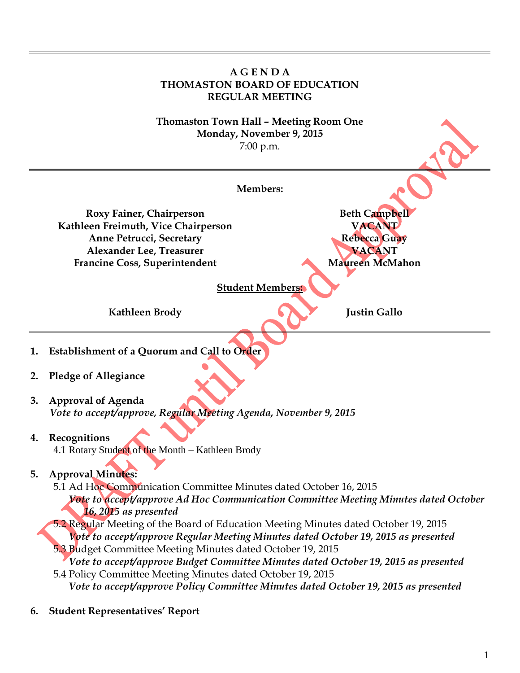

<sup>1</sup>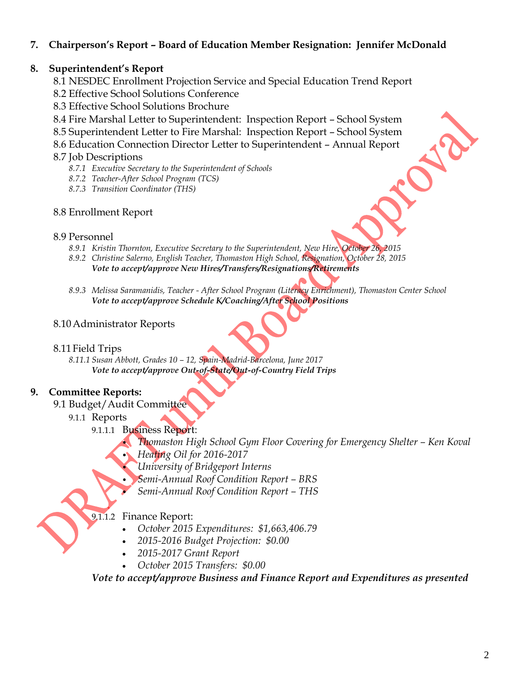# **7. Chairperson's Report – Board of Education Member Resignation: Jennifer McDonald**

## **8. Superintendent's Report**

- 8.1 NESDEC Enrollment Projection Service and Special Education Trend Report
- 8.2 Effective School Solutions Conference
- 8.3 Effective School Solutions Brochure
- 8.4 Fire Marshal Letter to Superintendent: Inspection Report School System
- 8.5 Superintendent Letter to Fire Marshal: Inspection Report School System
- 8.6 Education Connection Director Letter to Superintendent Annual Report

## 8.7 Job Descriptions

- *8.7.1 Executive Secretary to the Superintendent of Schools*
- *8.7.2 Teacher-After School Program (TCS)*
- *8.7.3 Transition Coordinator (THS)*

# 8.8 Enrollment Report

### 8.9 Personnel

- *8.9.1 Kristin Thornton, Executive Secretary to the Superintendent, New Hire, October 26, 2015*
- *8.9.2 Christine Salerno, English Teacher, Thomaston High School, Resignation, October 28, 2015 Vote to accept/approve New Hires/Transfers/Resignations/Retirements*
- *8.9.3 Melissa Saramanidis, Teacher - After School Program (Literacy Enrichment), Thomaston Center School Vote to accept/approve Schedule K/Coaching/After School Positions*

# 8.10Administrator Reports

## 8.11Field Trips

*8.11.1 Susan Abbott, Grades 10 – 12, Spain-Madrid-Barcelona, June 2017 Vote to accept/approve Out-of-State/Out-of-Country Field Trips*

# **9. Committee Reports:**

- 9.1 Budget/Audit Committee
	- 9.1.1 Reports
		- 9.1.1.1 Business Report:

• *Thomaston High School Gym Floor Covering for Emergency Shelter – Ken Koval*

- *Heating Oil for 2016-2017*
- *University of Bridgeport Interns*
- *Semi-Annual Roof Condition Report – BRS*
- *Semi-Annual Roof Condition Report – THS*

## 9.1.1.2 Finance Report:

- *October 2015 Expenditures: \$1,663,406.79*
- *2015-2016 Budget Projection: \$0.00*
- *2015-2017 Grant Report*
- *October 2015 Transfers: \$0.00*

*Vote to accept/approve Business and Finance Report and Expenditures as presented*